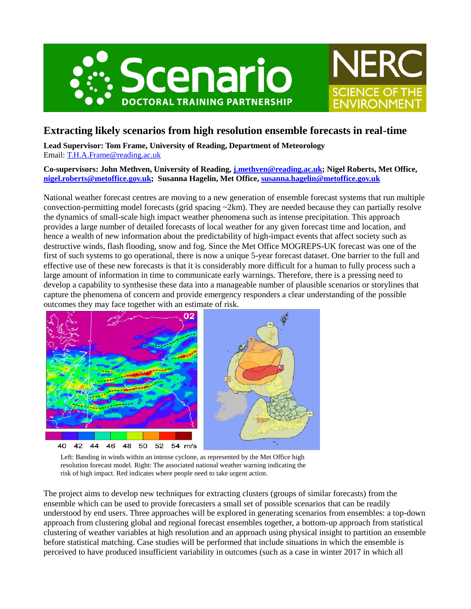



# **Extracting likely scenarios from high resolution ensemble forecasts in real-time**

**Lead Supervisor: Tom Frame, University of Reading, Department of Meteorology** Email: [T.H.A.Frame@reading.ac.uk](mailto:T.H.A.Frame@reading.ac.uk)

**Co-supervisors: John Methven, University of Reading, [j.methven@reading.ac.uk;](mailto:j.methven@reading.ac.uk) Nigel Roberts, Met Office, [nigel.roberts@metoffice.gov.uk;](mailto:nigel.roberts@metoffice.gov.uk) Susanna Hagelin, Met Office[, susanna.hagelin@metoffice.gov.uk](mailto:susanna.hagelin@metoffice.gov.uk)**

National weather forecast centres are moving to a new generation of ensemble forecast systems that run multiple convection-permitting model forecasts (grid spacing ~2km). They are needed because they can partially resolve the dynamics of small-scale high impact weather phenomena such as intense precipitation. This approach provides a large number of detailed forecasts of local weather for any given forecast time and location, and hence a wealth of new information about the predictability of high-impact events that affect society such as destructive winds, flash flooding, snow and fog. Since the Met Office MOGREPS-UK forecast was one of the first of such systems to go operational, there is now a unique 5-year forecast dataset. One barrier to the full and effective use of these new forecasts is that it is considerably more difficult for a human to fully process such a large amount of information in time to communicate early warnings. Therefore, there is a pressing need to develop a capability to synthesise these data into a manageable number of plausible scenarios or storylines that capture the phenomena of concern and provide emergency responders a clear understanding of the possible outcomes they may face together with an estimate of risk.



Left: Banding in winds within an intense cyclone, as represented by the Met Office high resolution forecast model. Right: The associated national weather warning indicating the risk of high impact. Red indicates where people need to take urgent action.

The project aims to develop new techniques for extracting clusters (groups of similar forecasts) from the ensemble which can be used to provide forecasters a small set of possible scenarios that can be readily understood by end users. Three approaches will be explored in generating scenarios from ensembles: a top-down approach from clustering global and regional forecast ensembles together, a bottom-up approach from statistical clustering of weather variables at high resolution and an approach using physical insight to partition an ensemble before statistical matching. Case studies will be performed that include situations in which the ensemble is perceived to have produced insufficient variability in outcomes (such as a case in winter 2017 in which all